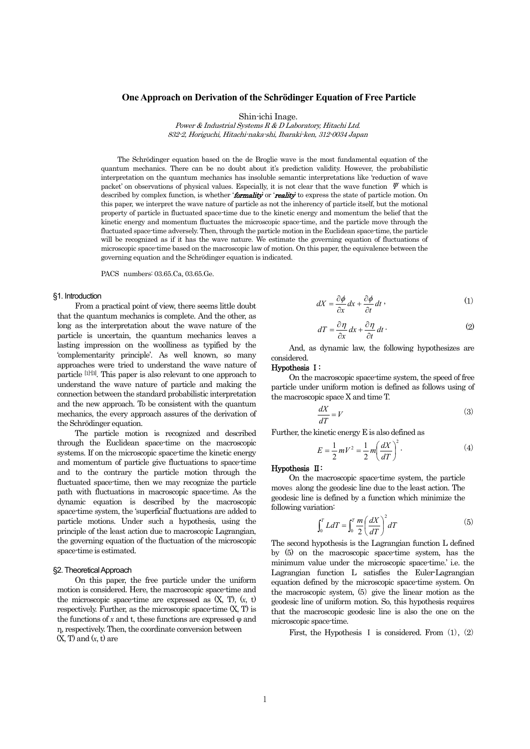# **One Approach on Derivation of the Schrödinger Equation of Free Particle**

Shin-ichi Inage.

Power & Industrial Systems R & D Laboratory, Hitachi Ltd. 832-2, Horiguchi, Hitachi-naka-shi, Ibaraki-ken, 312-0034 Japan

The Schrödinger equation based on the de Broglie wave is the most fundamental equation of the quantum mechanics. There can be no doubt about it's prediction validity. However, the probabilistic interpretation on the quantum mechanics has insoluble semantic interpretations like 'reduction of wave packet' on observations of physical values. Especially, it is not clear that the wave function  $\Psi$  which is described by complex function, is whether '**formality'** or 'reality' to express the state of particle motion. On this paper, we interpret the wave nature of particle as not the inherency of particle itself, but the motional property of particle in fluctuated space-time due to the kinetic energy and momentum the belief that the kinetic energy and momentum fluctuates the microscopic space-time, and the particle move through the fluctuated space-time adversely. Then, through the particle motion in the Euclidean space-time, the particle will be recognized as if it has the wave nature. We estimate the governing equation of fluctuations of microscopic space-time based on the macroscopic law of motion. On this paper, the equivalence between the governing equation and the Schrödinger equation is indicated.

PACS numbers: 03.65.Ca, 03.65.Ge.

## §1. Introduction

From a practical point of view, there seems little doubt that the quantum mechanics is complete. And the other, as long as the interpretation about the wave nature of the particle is uncertain, the quantum mechanics leaves a lasting impression on the woolliness as typified by the 'complementarity principle'. As well known, so many approaches were tried to understand the wave nature of particle [1]-[3]. This paper is also relevant to one approach to understand the wave nature of particle and making the connection between the standard probabilistic interpretation and the new approach. To be consistent with the quantum mechanics, the every approach assures of the derivation of the Schrödinger equation.

The particle motion is recognized and described through the Euclidean space-time on the macroscopic systems. If on the microscopic space-time the kinetic energy and momentum of particle give fluctuations to space-time and to the contrary the particle motion through the fluctuated space-time, then we may recognize the particle path with fluctuations in macroscopic space-time. As the dynamic equation is described by the macroscopic space-time system, the 'superficial' fluctuations are added to particle motions. Under such a hypothesis, using the principle of the least action due to macroscopic Lagrangian, the governing equation of the fluctuation of the microscopic space-time is estimated.

## §2. Theoretical Approach

On this paper, the free particle under the uniform motion is considered. Here, the macroscopic space-time and the microscopic space-time are expressed as (X, T), (*x*, t) respectively. Further, as the microscopic space-time (X, T) is the functions of  $x$  and  $t$ , these functions are expressed  $\omega$  and η, respectively. Then, the coordinate conversion between  $(X, T)$  and  $(x, t)$  are

$$
dX = \frac{\partial \phi}{\partial x} dx + \frac{\partial \phi}{\partial t} dt , \qquad (1)
$$

$$
dT = \frac{\partial \eta}{\partial x} dx + \frac{\partial \eta}{\partial t} dt
$$
 (2)

And, as dynamic law, the following hypothesizes are considered.

## Hypothesis Ⅰ:

On the macroscopic space-time system, the speed of free particle under uniform motion is defined as follows using of the macroscopic space X and time T.

$$
\frac{dX}{dT} = V \tag{3}
$$

Further, the kinetic energy E is also defined as

$$
E = \frac{1}{2} mV^2 = \frac{1}{2} m \left(\frac{dX}{dT}\right)^2.
$$
 (4)

Hypothesis Ⅱ:

On the macroscopic space-time system, the particle moves along the geodesic line due to the least action. The geodesic line is defined by a function which minimize the following variation:

$$
\int_0^T L dT = \int_0^T \frac{m}{2} \left(\frac{dX}{dT}\right)^2 dT \tag{5}
$$

The second hypothesis is the Lagrangian function L defined by (5) on the macroscopic space-time system, has the minimum value under the microscopic space-time.' i.e. the Lagrangian function L satisfies the Euler-Lagrangian equation defined by the microscopic space-time system. On the macroscopic system, (5) give the linear motion as the geodesic line of uniform motion. So, this hypothesis requires that the macroscopic geodesic line is also the one on the microscopic space-time.

First, the Hypothesis I is considered. From  $(1)$ ,  $(2)$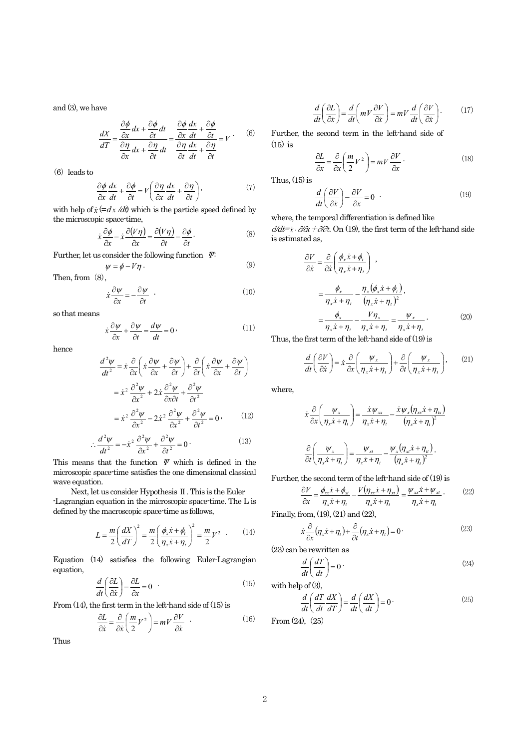and (3), we have

$$
\frac{dX}{dT} = \frac{\frac{\partial \phi}{\partial x} dx + \frac{\partial \phi}{\partial t}}{\frac{\partial \eta}{\partial x} dx + \frac{\partial \eta}{\partial t}} = \frac{\frac{\partial \phi}{\partial x} \frac{dx}{dt} + \frac{\partial \phi}{\partial t}}{\frac{\partial \eta}{\partial t} \frac{dx}{dt} + \frac{\partial \eta}{\partial t}} = V
$$
 (6)

(6) leads to

$$
\frac{\partial \phi}{\partial x}\frac{dx}{dt} + \frac{\partial \phi}{\partial t} = V\left(\frac{\partial \eta}{\partial x}\frac{dx}{dt} + \frac{\partial \eta}{\partial t}\right),\tag{7}
$$

with help of  $\dot{x}$  (=dx /dt) which is the particle speed defined by the microscopic space-time,

$$
\dot{x}\frac{\partial\phi}{\partial x} - \dot{x}\frac{\partial(V\eta)}{\partial x} = \frac{\partial(V\eta)}{\partial t} - \frac{\partial\phi}{\partial t}.
$$
 (8)

Further, let us consider the following function Ψ:

$$
\psi = \phi - V\eta \,. \tag{9}
$$

Then, from  $(8)$ ,

$$
\dot{x}\frac{\partial \psi}{\partial x} = -\frac{\partial \psi}{\partial t} \quad . \tag{10}
$$

so that means

$$
\dot{x}\frac{\partial \psi}{\partial x} + \frac{\partial \psi}{\partial t} = \frac{d\psi}{dt} = 0
$$
\n(11)

hence

$$
\frac{d^2\psi}{dt^2} = \dot{x}\frac{\partial}{\partial x}\left(\dot{x}\frac{\partial \psi}{\partial x} + \frac{\partial \psi}{\partial t}\right) + \frac{\partial}{\partial t}\left(\dot{x}\frac{\partial \psi}{\partial x} + \frac{\partial \psi}{\partial t}\right)
$$

$$
= \dot{x}^2 \frac{\partial^2 \psi}{\partial x^2} + 2\dot{x}\frac{\partial^2 \psi}{\partial x \partial t} + \frac{\partial^2 \psi}{\partial t^2}
$$

$$
= \dot{x}^2 \frac{\partial^2 \psi}{\partial x^2} - 2\dot{x}^2 \frac{\partial^2 \psi}{\partial x^2} + \frac{\partial^2 \psi}{\partial t^2} = 0
$$
 (12)

$$
\therefore \frac{d^2 \psi}{dt^2} = -\dot{x}^2 \frac{\partial^2 \psi}{\partial x^2} + \frac{\partial^2 \psi}{\partial t^2} = 0 \tag{13}
$$

This means that the function  $\mathscr V$  which is defined in the microscopic space-time satisfies the one dimensional classical wave equation.

Next, let us consider Hypothesis Ⅱ. This is the Euler -Lagrangian equation in the microscopic space-time. The L is defined by the macroscopic space-time as follows,

$$
L = \frac{m}{2} \left(\frac{dX}{dT}\right)^2 = \frac{m}{2} \left(\frac{\phi_x \dot{x} + \phi_t}{\eta_x \dot{x} + \eta_t}\right)^2 = \frac{m}{2} V^2 \quad . \tag{14}
$$

Equation (14) satisfies the following Euler-Lagrangian equation,

$$
\frac{d}{dt}\left(\frac{\partial L}{\partial \dot{x}}\right) - \frac{\partial L}{\partial x} = 0
$$
\n(15)

From (14), the first term in the left-hand side of (15) is

$$
\frac{\partial L}{\partial \dot{x}} = \frac{\partial}{\partial \dot{x}} \left( \frac{m}{2} V^2 \right) = mV \frac{\partial V}{\partial \dot{x}} \quad . \tag{16}
$$

Thus

$$
\frac{d}{dt}\left(\frac{\partial L}{\partial \dot{x}}\right) = \frac{d}{dt}\left(mV\frac{\partial V}{\partial \dot{x}}\right) = mV\frac{d}{dt}\left(\frac{\partial V}{\partial \dot{x}}\right).
$$
(17)

Further, the second term in the left-hand side of (15) is

$$
\frac{\partial L}{\partial x} = \frac{\partial}{\partial x} \left( \frac{m}{2} V^2 \right) = m V \frac{\partial V}{\partial x}.
$$
\n(18)

Thus,  $(15)$  is

$$
\frac{d}{dt}\left(\frac{\partial V}{\partial \dot{x}}\right) - \frac{\partial V}{\partial x} = 0
$$
\n(19)

where, the temporal differentiation is defined like

<sup>d</sup>/dt= *x*& ⋅∂/∂*x*+∂/∂t. On (19), the first term of the left-hand side is estimated as,

$$
\frac{\partial V}{\partial \dot{x}} = \frac{\partial}{\partial \dot{x}} \left( \frac{\phi_x \dot{x} + \phi_t}{\eta_x \dot{x} + \eta_t} \right) ,
$$
  
\n
$$
= \frac{\phi_x}{\eta_x \dot{x} + \eta_t} - \frac{\eta_x (\phi_x \dot{x} + \phi_t)}{(\eta_x \dot{x} + \eta_t)^2},
$$
  
\n
$$
= \frac{\phi_x}{\eta_x \dot{x} + \eta_t} - \frac{V \eta_x}{\eta_x \dot{x} + \eta_t} = \frac{\psi_x}{\eta_x \dot{x} + \eta_t}.
$$
 (20)

Thus, the first term of the left-hand side of (19) is

$$
\frac{d}{dt}\left(\frac{\partial V}{\partial \dot{x}}\right) = \dot{x}\frac{\partial}{\partial x}\left(\frac{\psi_x}{\eta_x \dot{x} + \eta_t}\right) + \frac{\partial}{\partial t}\left(\frac{\psi_x}{\eta_x \dot{x} + \eta_t}\right),\tag{21}
$$

where,

$$
\dot{x}\frac{\partial}{\partial x}\left(\frac{\psi_{x}}{\eta_{x}\dot{x}+\eta_{t}}\right) = \frac{\dot{x}\psi_{xx}}{\eta_{x}\dot{x}+\eta_{t}} - \frac{\dot{x}\psi_{x}(\eta_{xx}\dot{x}+\eta_{t})}{(\eta_{x}\dot{x}+\eta_{t})^{2}}
$$

$$
\frac{\partial}{\partial t}\left(\frac{\psi_{x}}{\eta_{x}\dot{x}+\eta_{t}}\right) = \frac{\psi_{xt}}{\eta_{x}\dot{x}+\eta_{t}} - \frac{\psi_{x}(\eta_{xt}\dot{x}+\eta_{tt})}{(\eta_{x}\dot{x}+\eta_{t})^{2}}.
$$

Further, the second term of the left-hand side of (19) is

$$
\frac{\partial V}{\partial x} = \frac{\phi_{xx}\dot{x} + \phi_{xt}}{\eta_x \dot{x} + \eta_t} - \frac{V(\eta_{xx}\dot{x} + \eta_{xt})}{\eta_x \dot{x} + \eta_t} = \frac{\psi_{xx}\dot{x} + \psi_{xt}}{\eta_x \dot{x} + \eta_t}.
$$
 (22)

Finally, from, (19), (21) and (22),

$$
\dot{x}\frac{\partial}{\partial x}(\eta_x \dot{x} + \eta_t) + \frac{\partial}{\partial t}(\eta_x \dot{x} + \eta_t) = 0
$$
 (23)

(23) can be rewritten as

$$
\frac{d}{dt}\left(\frac{dT}{dt}\right) = 0\tag{24}
$$

with help of (3),

$$
\frac{d}{dt}\left(\frac{dT}{dt}\frac{dX}{dT}\right) = \frac{d}{dt}\left(\frac{dX}{dt}\right) = 0
$$
\n(25)

From (24), (25)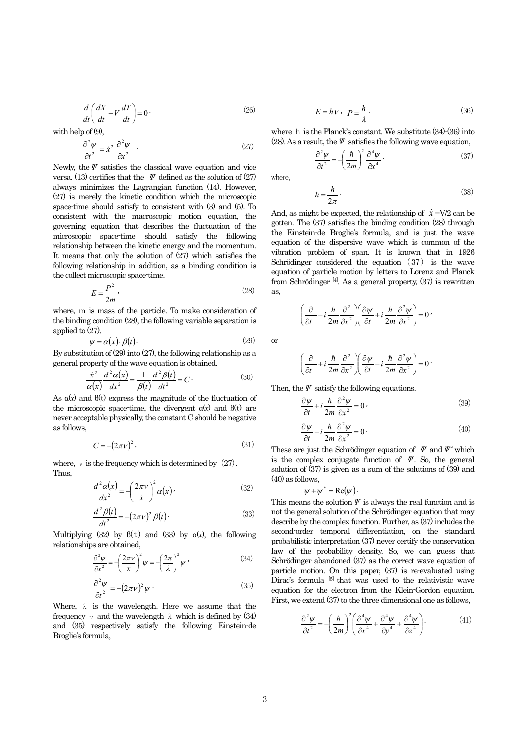$$
\frac{d}{dt} \left( \frac{dX}{dt} - V \frac{dT}{dt} \right) = 0 \tag{26}
$$

with help of  $(9)$ ,

$$
\frac{\partial^2 \psi}{\partial t^2} = \dot{x}^2 \frac{\partial^2 \psi}{\partial x^2} \qquad (27)
$$

Newly, the  $\psi$  satisfies the classical wave equation and vice versa. (13) certifies that the  $\Psi$  defined as the solution of (27) always minimizes the Lagrangian function (14). However, (27) is merely the kinetic condition which the microscopic space-time should satisfy to consistent with (3) and (5). To consistent with the macroscopic motion equation, the governing equation that describes the fluctuation of the microscopic space-time should satisfy the following relationship between the kinetic energy and the momentum. It means that only the solution of (27) which satisfies the following relationship in addition, as a binding condition is the collect microscopic space-time.

$$
E = \frac{P^2}{2m},\tag{28}
$$

where, m is mass of the particle. To make consideration of the binding condition (28), the following variable separation is applied to (27).

$$
\psi = \alpha(x) \cdot \beta(t). \tag{29}
$$

By substitution of (29) into (27), the following relationship as a general property of the wave equation is obtained.

$$
\frac{\dot{x}^2}{\alpha(x)}\frac{d^2\alpha(x)}{dx^2} = \frac{1}{\beta(t)}\frac{d^2\beta(t)}{dt^2} = C
$$
 (30)

As α(*x*) and β(t) express the magnitude of the fluctuation of the microscopic space-time, the divergent  $α(x)$  and  $β(t)$  are never acceptable physically, the constant C should be negative as follows,

$$
C = -(2\pi\nu)^2,\tag{31}
$$

where,  $\nu$  is the frequency which is determined by  $(27)$ . Thus,

$$
\frac{d^2\alpha(x)}{dx^2} = -\left(\frac{2\pi\nu}{\dot{x}}\right)^2 \alpha(x),\tag{32}
$$

$$
\frac{d^2\beta(t)}{dt^2} = -(2\pi\nu)^2 \beta(t)
$$
\n(33)

Multiplying (32) by  $\beta(t)$  and (33) by  $\alpha(x)$ , the following relationships are obtained,

$$
\frac{\partial^2 \psi}{\partial x^2} = -\left(\frac{2\pi\nu}{\dot{x}}\right)^2 \psi = -\left(\frac{2\pi}{\lambda}\right)^2 \psi \tag{34}
$$

$$
\frac{\partial^2 \psi}{\partial t^2} = -(2\pi v)^2 \psi \tag{35}
$$

Where,  $\lambda$  is the wavelength. Here we assume that the frequency  $\nu$  and the wavelength  $\lambda$  which is defined by (34) and (35) respectively satisfy the following Einstein-de Broglie's formula,

$$
E = h \mathbf{v} \,, \ \ \mathbf{p} = \frac{h}{\lambda} \,. \tag{36}
$$

where h is the Planck's constant. We substitute (34)-(36) into (28). As a result, the  $\varPsi$  satisfies the following wave equation,

$$
\frac{\partial^2 \psi}{\partial t^2} = -\left(\frac{\hbar}{2m}\right)^2 \frac{\partial^4 \psi}{\partial x^4} \,. \tag{37}
$$

where,

$$
\hbar = \frac{h}{2\pi} \,. \tag{38}
$$

And, as might be expected, the relationship of  $\dot{x} = V/2$  can be gotten. The (37) satisfies the binding condition (28) through the Einstein-de Broglie's formula, and is just the wave equation of the dispersive wave which is common of the vibration problem of span. It is known that in 1926 Schrödinger considered the equation (37) is the wave equation of particle motion by letters to Lorenz and Planck from Schrödinger [4]. As a general property, (37) is rewritten as,

$$
\left(\frac{\partial}{\partial t} - i\frac{\hbar}{2m}\frac{\partial^2}{\partial x^2}\right)\left(\frac{\partial \psi}{\partial t} + i\frac{\hbar}{2m}\frac{\partial^2 \psi}{\partial x^2}\right) = 0,
$$

or

$$
\left(\frac{\partial}{\partial t} + i\frac{\hbar}{2m}\frac{\partial^2}{\partial x^2}\right)\left(\frac{\partial \psi}{\partial t} - i\frac{\hbar}{2m}\frac{\partial^2 \psi}{\partial x^2}\right) = 0
$$

Then, the  $\varPsi$  satisfy the following equations.

$$
\frac{\partial \psi}{\partial t} + i \frac{\hbar}{2m} \frac{\partial^2 \psi}{\partial x^2} = 0 \tag{39}
$$

$$
\frac{\partial \psi}{\partial t} - i \frac{\hbar}{2m} \frac{\partial^2 \psi}{\partial x^2} = 0
$$
\n(40)

These are just the Schrödinger equation of  $\mathcal V$  and  $\mathcal V^*$  which is the complex conjugate function of  $\varPsi$ . So, the general solution of (37) is given as a sum of the solutions of (39) and (40) as follows,

$$
\psi + \psi^* = \text{Re}(\psi).
$$

This means the solution  $\varPsi$  is always the real function and is not the general solution of the Schrödinger equation that may describe by the complex function. Further, as (37) includes the second-order temporal differentiation, on the standard probabilistic interpretation (37) never certify the conservation law of the probability density. So, we can guess that Schrödinger abandoned (37) as the correct wave equation of particle motion. On this paper, (37) is re-evaluated using Dirac's formula <sup>[5]</sup> that was used to the relativistic wave equation for the electron from the Klein-Gordon equation. First, we extend (37) to the three dimensional one as follows,

$$
\frac{\partial^2 \psi}{\partial t^2} = -\left(\frac{\hbar}{2m}\right)^2 \left(\frac{\partial^4 \psi}{\partial x^4} + \frac{\partial^4 \psi}{\partial y^4} + \frac{\partial^4 \psi}{\partial z^4}\right).
$$
 (41)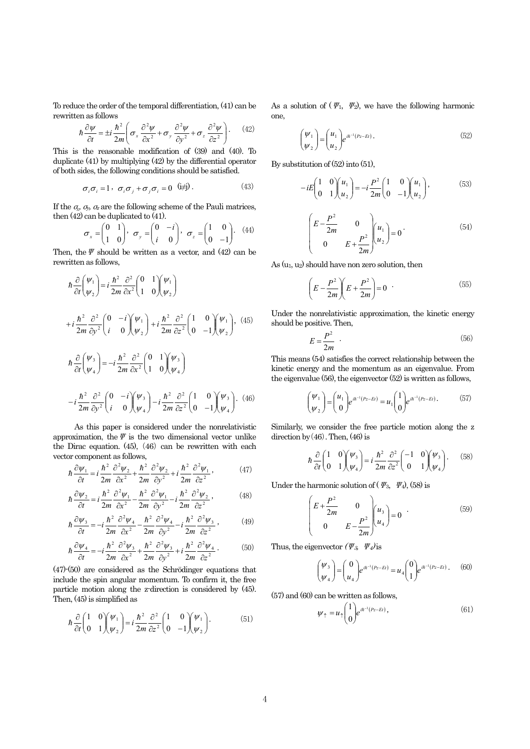To reduce the order of the temporal differentiation, (41) can be rewritten as follows

$$
\hbar \frac{\partial \psi}{\partial t} = \pm i \frac{\hbar^2}{2m} \left( \sigma_x \frac{\partial^2 \psi}{\partial x^2} + \sigma_y \frac{\partial^2 \psi}{\partial y^2} + \sigma_z \frac{\partial^2 \psi}{\partial z^2} \right). \tag{42}
$$

This is the reasonable modification of (39) and (40). To duplicate (41) by multiplying (42) by the differential operator of both sides, the following conditions should be satisfied.

$$
\sigma_i \sigma_i = 1 \,, \ \sigma_i \sigma_j + \sigma_j \sigma_i = 0 \quad \text{(i} \neq \text{)} \,. \tag{43}
$$

If the  $q_x$ ,  $q_y$ ,  $q_z$  are the following scheme of the Pauli matrices, then (42) can be duplicated to (41).

$$
\sigma_x = \begin{pmatrix} 0 & 1 \\ 1 & 0 \end{pmatrix}, \quad \sigma_y = \begin{pmatrix} 0 & -i \\ i & 0 \end{pmatrix}, \quad \sigma_z = \begin{pmatrix} 1 & 0 \\ 0 & -1 \end{pmatrix}. \quad (44)
$$

Then, the  $\Psi$  should be written as a vector, and (42) can be rewritten as follows,

$$
\hbar \frac{\partial}{\partial t} \left( \frac{\psi_1}{\psi_2} \right) = i \frac{\hbar^2}{2m} \frac{\partial^2}{\partial x^2} \left( \begin{array}{cc} 0 & 1 \\ 1 & 0 \end{array} \right) \left( \frac{\psi_1}{\psi_2} \right)
$$
\n
$$
+ i \frac{\hbar^2}{2m} \frac{\partial^2}{\partial y^2} \left( \begin{array}{cc} 0 & -i \\ i & 0 \end{array} \right) \left( \frac{\psi_1}{\psi_2} \right) + i \frac{\hbar^2}{2m} \frac{\partial^2}{\partial z^2} \left( \begin{array}{cc} 1 & 0 \\ 0 & -1 \end{array} \right) \left( \frac{\psi_1}{\psi_2} \right), (45)
$$
\n
$$
\hbar \frac{\partial}{\partial t} \left( \frac{\psi_3}{\psi_4} \right) = -i \frac{\hbar^2}{2m} \frac{\partial^2}{\partial x^2} \left( \begin{array}{cc} 0 & 1 \\ 1 & 0 \end{array} \right) \left( \frac{\psi_3}{\psi_4} \right)
$$
\n
$$
-i \frac{\hbar^2}{2m} \frac{\partial^2}{\partial y^2} \left( \begin{array}{cc} 0 & -i \\ i & 0 \end{array} \right) \left( \frac{\psi_3}{\psi_4} \right) - i \frac{\hbar^2}{2m} \frac{\partial^2}{\partial z^2} \left( \begin{array}{cc} 1 & 0 \\ 0 & -1 \end{array} \right) \left( \frac{\psi_3}{\psi_4} \right). (46)
$$

As this paper is considered under the nonrelativistic approximation, the  $\Psi$  is the two dimensional vector unlike the Dirac equation. (45), (46) can be rewritten with each vector component as follows,

$$
\hbar \frac{\partial \psi_1}{\partial t} = i \frac{\hbar^2}{2m} \frac{\partial^2 \psi_2}{\partial x^2} + \frac{\hbar^2}{2m} \frac{\partial^2 \psi_2}{\partial y^2} + i \frac{\hbar^2}{2m} \frac{\partial^2 \psi_1}{\partial z^2},
$$
(47)

$$
\hbar \frac{\partial \psi_2}{\partial t} = i \frac{\hbar^2}{2m} \frac{\partial^2 \psi_1}{\partial x^2} - \frac{\hbar^2}{2m} \frac{\partial^2 \psi_1}{\partial y^2} - i \frac{\hbar^2}{2m} \frac{\partial^2 \psi_2}{\partial z^2},
$$
(48)

$$
\hbar \frac{\partial \psi_3}{\partial t} = -i \frac{\hbar^2}{2m} \frac{\partial^2 \psi_4}{\partial x^2} - \frac{\hbar^2}{2m} \frac{\partial^2 \psi_4}{\partial y^2} - i \frac{\hbar^2}{2m} \frac{\partial^2 \psi_3}{\partial z^2},
$$
(49)

$$
\hbar \frac{\partial \psi_4}{\partial t} = -i \frac{\hbar^2}{2m} \frac{\partial^2 \psi_3}{\partial x^2} + \frac{\hbar^2}{2m} \frac{\partial^2 \psi_3}{\partial y^2} + i \frac{\hbar^2}{2m} \frac{\partial^2 \psi_4}{\partial z^2}.
$$
 (50)

(47)-(50) are considered as the Schrödinger equations that include the spin angular momentum. To confirm it, the free particle motion along the z-direction is considered by (45). Then, (45) is simplified as

$$
\hbar \frac{\partial}{\partial t} \begin{pmatrix} 1 & 0 \\ 0 & 1 \end{pmatrix} \begin{pmatrix} \psi_1 \\ \psi_2 \end{pmatrix} = i \frac{\hbar^2}{2m} \frac{\partial^2}{\partial z^2} \begin{pmatrix} 1 & 0 \\ 0 & -1 \end{pmatrix} \begin{pmatrix} \psi_1 \\ \psi_2 \end{pmatrix}.
$$
 (51)

As a solution of  $(\Psi_1, \Psi_2)$ , we have the following harmonic one,

$$
\begin{pmatrix} \psi_1 \\ \psi_2 \end{pmatrix} = \begin{pmatrix} u_1 \\ u_2 \end{pmatrix} e^{i\hbar^{-1}(P_z - Et)}.
$$
 (52)

By substitution of (52) into (51),

$$
-iE\begin{pmatrix} 1 & 0 \\ 0 & 1 \end{pmatrix} \begin{pmatrix} u_1 \\ u_2 \end{pmatrix} = -i\frac{P^2}{2m} \begin{pmatrix} 1 & 0 \\ 0 & -1 \end{pmatrix} \begin{pmatrix} u_1 \\ u_2 \end{pmatrix},
$$
(53)

$$
\begin{pmatrix} E - \frac{P^2}{2m} & 0 \\ 0 & E + \frac{P^2}{2m} \end{pmatrix} \begin{pmatrix} u_1 \\ u_2 \end{pmatrix} = 0 \tag{54}
$$

As  $(u_1, u_2)$  should have non zero solution, then

$$
\left(E - \frac{P^2}{2m}\right)\left(E + \frac{P^2}{2m}\right) = 0 \tag{55}
$$

Under the nonrelativistic approximation, the kinetic energy should be positive. Then,

$$
E = \frac{P^2}{2m} \tag{56}
$$

This means (54) satisfies the correct relationship between the kinetic energy and the momentum as an eigenvalue. From the eigenvalue (56), the eigenvector (52) is written as follows,

$$
\begin{pmatrix} \psi_1 \\ \psi_2 \end{pmatrix} = \begin{pmatrix} u_1 \\ 0 \end{pmatrix} e^{ih^{-1}(P_z - Et)} = u_1 \begin{pmatrix} 1 \\ 0 \end{pmatrix} e^{ih^{-1}(P_z - Et)}.
$$
 (57)

Similarly, we consider the free particle motion along the z direction by  $(46)$ . Then,  $(46)$  is

$$
\hbar \frac{\partial}{\partial t} \begin{pmatrix} 1 & 0 \\ 0 & 1 \end{pmatrix} \begin{pmatrix} \psi_3 \\ \psi_4 \end{pmatrix} = i \frac{\hbar^2}{2m} \frac{\partial^2}{\partial z^2} \begin{pmatrix} -1 & 0 \\ 0 & 1 \end{pmatrix} \begin{pmatrix} \psi_3 \\ \psi_4 \end{pmatrix}.
$$
 (58)

Under the harmonic solution of ( $\varPsi_3$ ,  $\varPsi_4$ ), (58) is

$$
\begin{pmatrix} E + \frac{P^2}{2m} & 0 \\ 0 & E - \frac{P^2}{2m} \end{pmatrix} \begin{pmatrix} u_3 \\ u_4 \end{pmatrix} = 0 \quad (59)
$$

Thus, the eigenvector  $(\Psi_3, \Psi_4)$  is

$$
\begin{pmatrix} \psi_3 \\ \psi_4 \end{pmatrix} = \begin{pmatrix} 0 \\ u_4 \end{pmatrix} e^{i\hbar^{-1}(P_z - Et)} = u_4 \begin{pmatrix} 0 \\ 1 \end{pmatrix} e^{i\hbar^{-1}(P_z - Et)}.
$$
 (60)

(57) and (60) can be written as follows,

$$
\psi_{\uparrow} = u_{\uparrow} \begin{pmatrix} 1 \\ 0 \end{pmatrix} e^{i\hbar^{-1}(P_z - Et)}, \tag{61}
$$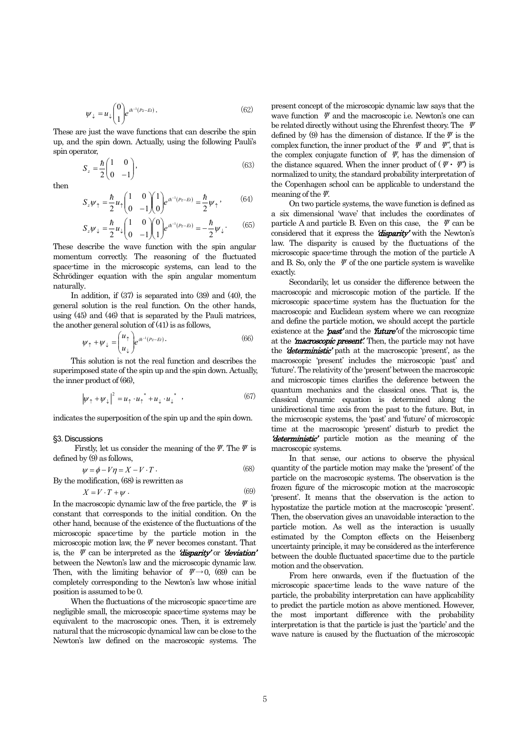$$
\psi_{\downarrow} = u_{\downarrow} \begin{pmatrix} 0 \\ 1 \end{pmatrix} e^{i\hbar^{-1}(P_z - Et)}.
$$
\n(62)

These are just the wave functions that can describe the spin up, and the spin down. Actually, using the following Pauli's spin operator,

$$
S_z = \frac{\hbar}{2} \begin{pmatrix} 1 & 0 \\ 0 & -1 \end{pmatrix},\tag{63}
$$

then

$$
S_z \psi_\uparrow = \frac{\hbar}{2} u_\uparrow \begin{pmatrix} 1 & 0 \\ 0 & -1 \end{pmatrix} \begin{pmatrix} 1 \\ 0 \end{pmatrix} e^{i\hbar^{-1}(P_z - Et)} = \frac{\hbar}{2} \psi_\uparrow , \qquad (64)
$$

$$
S_z \psi_{\downarrow} = \frac{\hbar}{2} u_{\downarrow} \begin{pmatrix} 1 & 0 \\ 0 & -1 \end{pmatrix} \begin{pmatrix} 0 \\ 1 \end{pmatrix} e^{i \hbar^{-1} (P_z - Et)} = -\frac{\hbar}{2} \psi_{\downarrow}.
$$
 (65)

These describe the wave function with the spin angular momentum correctly. The reasoning of the fluctuated space-time in the microscopic systems, can lead to the Schrödinger equation with the spin angular momentum naturally.

In addition, if (37) is separated into (39) and (40), the general solution is the real function. On the other hands, using (45) and (46) that is separated by the Pauli matrices, the another general solution of (41) is as follows,

$$
\psi_{\uparrow} + \psi_{\downarrow} = \begin{pmatrix} u_{\uparrow} \\ u_{\downarrow} \end{pmatrix} e^{i\hbar^{-1}(P_z - Et)}.
$$
 (66)

This solution is not the real function and describes the superimposed state of the spin up and the spin down. Actually, the inner product of (66),

$$
\left|\psi_{\uparrow} + \psi_{\downarrow}\right|^2 = u_{\uparrow} \cdot u_{\uparrow}^* + u_{\downarrow} \cdot u_{\downarrow}^* \quad , \tag{67}
$$

indicates the superposition of the spin up and the spin down.

#### §3. Discussions

Firstly, let us consider the meaning of the  $\psi$ . The  $\psi$  is defined by (9) as follows,

$$
\psi = \phi - V\eta = X - V \cdot T \,. \tag{68}
$$

By the modification, (68) is rewritten as  

$$
X = V \cdot T + \psi.
$$
 (69)

In the macroscopic dynamic law of the free particle, the  $\Psi$  is constant that corresponds to the initial condition. On the other hand, because of the existence of the fluctuations of the microscopic space-time by the particle motion in the microscopic motion law, the  $\psi$  never becomes constant. That is, the  $\Psi$  can be interpreted as the **'disparity'** or **'deviation'** between the Newton's law and the microscopic dynamic law. Then, with the limiting behavior of  $\psi \rightarrow 0$ , (69) can be completely corresponding to the Newton's law whose initial position is assumed to be 0.

When the fluctuations of the microscopic space-time are negligible small, the microscopic space-time systems may be equivalent to the macroscopic ones. Then, it is extremely natural that the microscopic dynamical law can be close to the Newton's law defined on the macroscopic systems. The present concept of the microscopic dynamic law says that the wave function  $\mathscr V$  and the macroscopic i.e. Newton's one can be related directly without using the Ehrenfest theory. The Ψ defined by (9) has the dimension of distance. If the  $\Psi$  is the complex function, the inner product of the  $\Psi$  and  $\Psi^*$ , that is the complex conjugate function of  $\mathscr V$ , has the dimension of the distance squared. When the inner product of  $(\Psi \cdot \Psi)$  is normalized to unity, the standard probability interpretation of the Copenhagen school can be applicable to understand the meaning of the  $\varPsi$ .

 On two particle systems, the wave function is defined as a six dimensional 'wave' that includes the coordinates of particle A and particle B. Even on this case, the  $\Psi$  can be considered that it express the 'disparity' with the Newton's law. The disparity is caused by the fluctuations of the microscopic space-time through the motion of the particle A and B. So, only the  $\Psi$  of the one particle system is wavelike exactly.

 Secondarily, let us consider the difference between the macroscopic and microscopic motion of the particle. If the microscopic space-time system has the fluctuation for the macroscopic and Euclidean system where we can recognize and define the particle motion, we should accept the particle existence at the  $\hat{p}$ ast' and the  $\hat{n}$ ture' of the microscopic time at the **'macroscopic present'**. Then, the particle may not have the **'deterministic'** path at the macroscopic 'present', as the macroscopic 'present' includes the microscopic 'past' and 'future'. The relativity of the 'present' between the macroscopic and microscopic times clarifies the deference between the quantum mechanics and the classical ones. That is, the classical dynamic equation is determined along the unidirectional time axis from the past to the future. But, in the microscopic systems, the 'past' and 'future' of microscopic time at the macroscopic 'present' disturb to predict the **'deterministic'** particle motion as the meaning of the macroscopic systems.

In that sense, our actions to observe the physical quantity of the particle motion may make the 'present' of the particle on the macroscopic systems. The observation is the frozen figure of the microscopic motion at the macroscopic 'present'. It means that the observation is the action to hypostatize the particle motion at the macroscopic 'present'. Then, the observation gives an unavoidable interaction to the particle motion. As well as the interaction is usually estimated by the Compton effects on the Heisenberg uncertainty principle, it may be considered as the interference between the double fluctuated space-time due to the particle motion and the observation.

 From here onwards, even if the fluctuation of the microscopic space-time leads to the wave nature of the particle, the probability interpretation can have applicability to predict the particle motion as above mentioned. However, the most important difference with the probability interpretation is that the particle is just the 'particle' and the wave nature is caused by the fluctuation of the microscopic